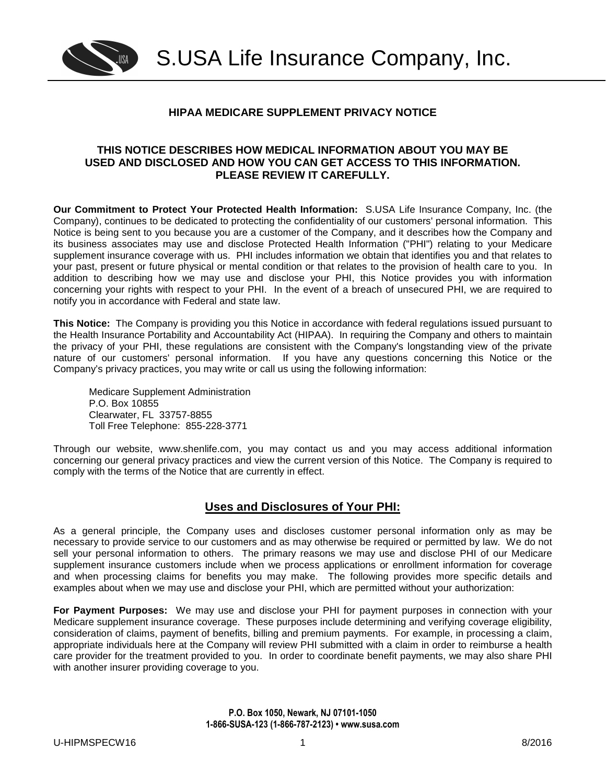

# **HIPAA MEDICARE SUPPLEMENT PRIVACY NOTICE**

#### **THIS NOTICE DESCRIBES HOW MEDICAL INFORMATION ABOUT YOU MAY BE USED AND DISCLOSED AND HOW YOU CAN GET ACCESS TO THIS INFORMATION. PLEASE REVIEW IT CAREFULLY.**

**Our Commitment to Protect Your Protected Health Information:** S.USA Life Insurance Company, Inc. (the Company), continues to be dedicated to protecting the confidentiality of our customers' personal information. This Notice is being sent to you because you are a customer of the Company, and it describes how the Company and its business associates may use and disclose Protected Health Information ("PHI") relating to your Medicare supplement insurance coverage with us. PHI includes information we obtain that identifies you and that relates to your past, present or future physical or mental condition or that relates to the provision of health care to you. In addition to describing how we may use and disclose your PHI, this Notice provides you with information concerning your rights with respect to your PHI. In the event of a breach of unsecured PHI, we are required to notify you in accordance with Federal and state law.

**This Notice:** The Company is providing you this Notice in accordance with federal regulations issued pursuant to the Health Insurance Portability and Accountability Act (HIPAA). In requiring the Company and others to maintain the privacy of your PHI, these regulations are consistent with the Company's longstanding view of the private nature of our customers' personal information. If you have any questions concerning this Notice or the Company's privacy practices, you may write or call us using the following information:

Medicare Supplement Administration P.O. Box 10855 Clearwater, FL 33757-8855 Toll Free Telephone: 855-228-3771

Through our website, www.shenlife.com, you may contact us and you may access additional information concerning our general privacy practices and view the current version of this Notice. The Company is required to comply with the terms of the Notice that are currently in effect.

# **Uses and Disclosures of Your PHI:**

As a general principle, the Company uses and discloses customer personal information only as may be necessary to provide service to our customers and as may otherwise be required or permitted by law. We do not sell your personal information to others. The primary reasons we may use and disclose PHI of our Medicare supplement insurance customers include when we process applications or enrollment information for coverage and when processing claims for benefits you may make. The following provides more specific details and examples about when we may use and disclose your PHI, which are permitted without your authorization:

**For Payment Purposes:** We may use and disclose your PHI for payment purposes in connection with your Medicare supplement insurance coverage. These purposes include determining and verifying coverage eligibility, consideration of claims, payment of benefits, billing and premium payments. For example, in processing a claim, appropriate individuals here at the Company will review PHI submitted with a claim in order to reimburse a health care provider for the treatment provided to you. In order to coordinate benefit payments, we may also share PHI with another insurer providing coverage to you.

> **P.O. Box 1050, Newark, NJ 07101-1050 1-866-SUSA-123 (1-866-787-2123) • www.susa.com**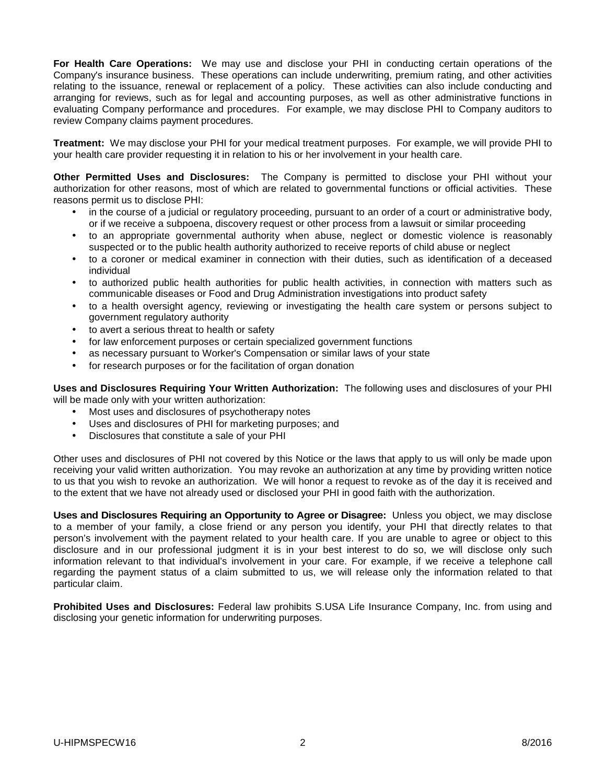**For Health Care Operations:** We may use and disclose your PHI in conducting certain operations of the Company's insurance business. These operations can include underwriting, premium rating, and other activities relating to the issuance, renewal or replacement of a policy. These activities can also include conducting and arranging for reviews, such as for legal and accounting purposes, as well as other administrative functions in evaluating Company performance and procedures. For example, we may disclose PHI to Company auditors to review Company claims payment procedures.

**Treatment:** We may disclose your PHI for your medical treatment purposes. For example, we will provide PHI to your health care provider requesting it in relation to his or her involvement in your health care.

**Other Permitted Uses and Disclosures:** The Company is permitted to disclose your PHI without your authorization for other reasons, most of which are related to governmental functions or official activities. These reasons permit us to disclose PHI:

- in the course of a judicial or regulatory proceeding, pursuant to an order of a court or administrative body, or if we receive a subpoena, discovery request or other process from a lawsuit or similar proceeding
- to an appropriate governmental authority when abuse, neglect or domestic violence is reasonably suspected or to the public health authority authorized to receive reports of child abuse or neglect
- to a coroner or medical examiner in connection with their duties, such as identification of a deceased individual
- to authorized public health authorities for public health activities, in connection with matters such as communicable diseases or Food and Drug Administration investigations into product safety
- to a health oversight agency, reviewing or investigating the health care system or persons subject to government regulatory authority
- to avert a serious threat to health or safety
- for law enforcement purposes or certain specialized government functions
- as necessary pursuant to Worker's Compensation or similar laws of your state
- for research purposes or for the facilitation of organ donation

**Uses and Disclosures Requiring Your Written Authorization:** The following uses and disclosures of your PHI will be made only with your written authorization:

- Most uses and disclosures of psychotherapy notes
- Uses and disclosures of PHI for marketing purposes; and
- Disclosures that constitute a sale of your PHI

Other uses and disclosures of PHI not covered by this Notice or the laws that apply to us will only be made upon receiving your valid written authorization. You may revoke an authorization at any time by providing written notice to us that you wish to revoke an authorization. We will honor a request to revoke as of the day it is received and to the extent that we have not already used or disclosed your PHI in good faith with the authorization.

**Uses and Disclosures Requiring an Opportunity to Agree or Disagree:** Unless you object, we may disclose to a member of your family, a close friend or any person you identify, your PHI that directly relates to that person's involvement with the payment related to your health care. If you are unable to agree or object to this disclosure and in our professional judgment it is in your best interest to do so, we will disclose only such information relevant to that individual's involvement in your care. For example, if we receive a telephone call regarding the payment status of a claim submitted to us, we will release only the information related to that particular claim.

**Prohibited Uses and Disclosures:** Federal law prohibits S.USA Life Insurance Company, Inc. from using and disclosing your genetic information for underwriting purposes.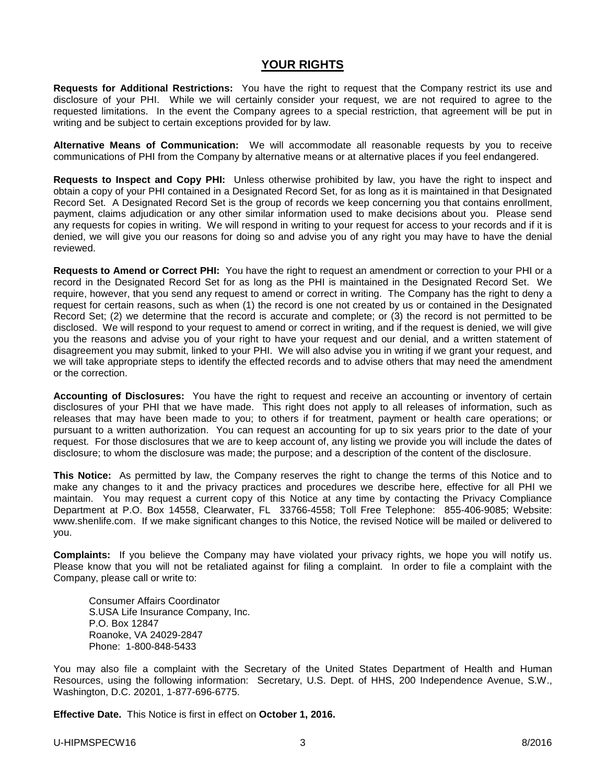# **YOUR RIGHTS**

**Requests for Additional Restrictions:** You have the right to request that the Company restrict its use and disclosure of your PHI. While we will certainly consider your request, we are not required to agree to the requested limitations. In the event the Company agrees to a special restriction, that agreement will be put in writing and be subject to certain exceptions provided for by law.

**Alternative Means of Communication:** We will accommodate all reasonable requests by you to receive communications of PHI from the Company by alternative means or at alternative places if you feel endangered.

**Requests to Inspect and Copy PHI:** Unless otherwise prohibited by law, you have the right to inspect and obtain a copy of your PHI contained in a Designated Record Set, for as long as it is maintained in that Designated Record Set. A Designated Record Set is the group of records we keep concerning you that contains enrollment, payment, claims adjudication or any other similar information used to make decisions about you. Please send any requests for copies in writing. We will respond in writing to your request for access to your records and if it is denied, we will give you our reasons for doing so and advise you of any right you may have to have the denial reviewed.

**Requests to Amend or Correct PHI:** You have the right to request an amendment or correction to your PHI or a record in the Designated Record Set for as long as the PHI is maintained in the Designated Record Set. We require, however, that you send any request to amend or correct in writing. The Company has the right to deny a request for certain reasons, such as when (1) the record is one not created by us or contained in the Designated Record Set; (2) we determine that the record is accurate and complete; or (3) the record is not permitted to be disclosed. We will respond to your request to amend or correct in writing, and if the request is denied, we will give you the reasons and advise you of your right to have your request and our denial, and a written statement of disagreement you may submit, linked to your PHI. We will also advise you in writing if we grant your request, and we will take appropriate steps to identify the effected records and to advise others that may need the amendment or the correction.

**Accounting of Disclosures:** You have the right to request and receive an accounting or inventory of certain disclosures of your PHI that we have made. This right does not apply to all releases of information, such as releases that may have been made to you; to others if for treatment, payment or health care operations; or pursuant to a written authorization. You can request an accounting for up to six years prior to the date of your request. For those disclosures that we are to keep account of, any listing we provide you will include the dates of disclosure; to whom the disclosure was made; the purpose; and a description of the content of the disclosure.

**This Notice:** As permitted by law, the Company reserves the right to change the terms of this Notice and to make any changes to it and the privacy practices and procedures we describe here, effective for all PHI we maintain. You may request a current copy of this Notice at any time by contacting the Privacy Compliance Department at P.O. Box 14558, Clearwater, FL 33766-4558; Toll Free Telephone: 855-406-9085; Website: www.shenlife.com. If we make significant changes to this Notice, the revised Notice will be mailed or delivered to you.

**Complaints:** If you believe the Company may have violated your privacy rights, we hope you will notify us. Please know that you will not be retaliated against for filing a complaint. In order to file a complaint with the Company, please call or write to:

Consumer Affairs Coordinator S.USA Life Insurance Company, Inc. P.O. Box 12847 Roanoke, VA 24029-2847 Phone: 1-800-848-5433

You may also file a complaint with the Secretary of the United States Department of Health and Human Resources, using the following information: Secretary, U.S. Dept. of HHS, 200 Independence Avenue, S.W., Washington, D.C. 20201, 1-877-696-6775.

**Effective Date.** This Notice is first in effect on **October 1, 2016.**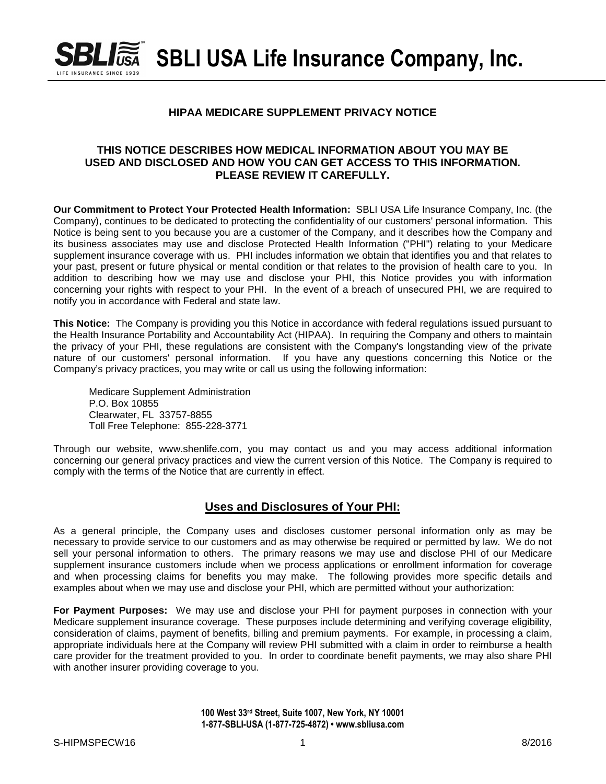

 $\blacksquare$ *i* SBLI USA Life Insurance Company, Inc.

### **HIPAA MEDICARE SUPPLEMENT PRIVACY NOTICE**

#### **THIS NOTICE DESCRIBES HOW MEDICAL INFORMATION ABOUT YOU MAY BE USED AND DISCLOSED AND HOW YOU CAN GET ACCESS TO THIS INFORMATION. PLEASE REVIEW IT CAREFULLY.**

**Our Commitment to Protect Your Protected Health Information:** SBLI USA Life Insurance Company, Inc. (the Company), continues to be dedicated to protecting the confidentiality of our customers' personal information. This Notice is being sent to you because you are a customer of the Company, and it describes how the Company and its business associates may use and disclose Protected Health Information ("PHI") relating to your Medicare supplement insurance coverage with us. PHI includes information we obtain that identifies you and that relates to your past, present or future physical or mental condition or that relates to the provision of health care to you. In addition to describing how we may use and disclose your PHI, this Notice provides you with information concerning your rights with respect to your PHI. In the event of a breach of unsecured PHI, we are required to notify you in accordance with Federal and state law.

**This Notice:** The Company is providing you this Notice in accordance with federal regulations issued pursuant to the Health Insurance Portability and Accountability Act (HIPAA). In requiring the Company and others to maintain the privacy of your PHI, these regulations are consistent with the Company's longstanding view of the private nature of our customers' personal information. If you have any questions concerning this Notice or the Company's privacy practices, you may write or call us using the following information:

Medicare Supplement Administration P.O. Box 10855 Clearwater, FL 33757-8855 Toll Free Telephone: 855-228-3771

Through our website, www.shenlife.com, you may contact us and you may access additional information concerning our general privacy practices and view the current version of this Notice. The Company is required to comply with the terms of the Notice that are currently in effect.

## **Uses and Disclosures of Your PHI:**

As a general principle, the Company uses and discloses customer personal information only as may be necessary to provide service to our customers and as may otherwise be required or permitted by law. We do not sell your personal information to others. The primary reasons we may use and disclose PHI of our Medicare supplement insurance customers include when we process applications or enrollment information for coverage and when processing claims for benefits you may make. The following provides more specific details and examples about when we may use and disclose your PHI, which are permitted without your authorization:

**For Payment Purposes:** We may use and disclose your PHI for payment purposes in connection with your Medicare supplement insurance coverage. These purposes include determining and verifying coverage eligibility, consideration of claims, payment of benefits, billing and premium payments. For example, in processing a claim, appropriate individuals here at the Company will review PHI submitted with a claim in order to reimburse a health care provider for the treatment provided to you. In order to coordinate benefit payments, we may also share PHI with another insurer providing coverage to you.

> **100 West 33rd Street, Suite 1007, New York, NY 10001 1-877-SBLI-USA (1-877-725-4872) • www.sbliusa.com**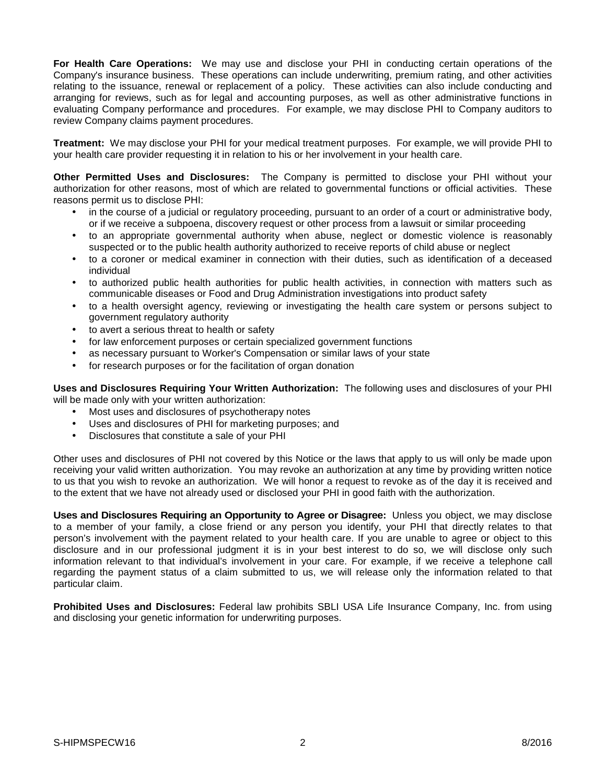**For Health Care Operations:** We may use and disclose your PHI in conducting certain operations of the Company's insurance business. These operations can include underwriting, premium rating, and other activities relating to the issuance, renewal or replacement of a policy. These activities can also include conducting and arranging for reviews, such as for legal and accounting purposes, as well as other administrative functions in evaluating Company performance and procedures. For example, we may disclose PHI to Company auditors to review Company claims payment procedures.

**Treatment:** We may disclose your PHI for your medical treatment purposes. For example, we will provide PHI to your health care provider requesting it in relation to his or her involvement in your health care.

**Other Permitted Uses and Disclosures:** The Company is permitted to disclose your PHI without your authorization for other reasons, most of which are related to governmental functions or official activities. These reasons permit us to disclose PHI:

- in the course of a judicial or regulatory proceeding, pursuant to an order of a court or administrative body, or if we receive a subpoena, discovery request or other process from a lawsuit or similar proceeding
- to an appropriate governmental authority when abuse, neglect or domestic violence is reasonably suspected or to the public health authority authorized to receive reports of child abuse or neglect
- to a coroner or medical examiner in connection with their duties, such as identification of a deceased individual
- to authorized public health authorities for public health activities, in connection with matters such as communicable diseases or Food and Drug Administration investigations into product safety
- to a health oversight agency, reviewing or investigating the health care system or persons subject to government regulatory authority
- to avert a serious threat to health or safety
- for law enforcement purposes or certain specialized government functions
- as necessary pursuant to Worker's Compensation or similar laws of your state
- for research purposes or for the facilitation of organ donation

**Uses and Disclosures Requiring Your Written Authorization:** The following uses and disclosures of your PHI will be made only with your written authorization:

- Most uses and disclosures of psychotherapy notes
- Uses and disclosures of PHI for marketing purposes; and
- Disclosures that constitute a sale of your PHI

Other uses and disclosures of PHI not covered by this Notice or the laws that apply to us will only be made upon receiving your valid written authorization. You may revoke an authorization at any time by providing written notice to us that you wish to revoke an authorization. We will honor a request to revoke as of the day it is received and to the extent that we have not already used or disclosed your PHI in good faith with the authorization.

**Uses and Disclosures Requiring an Opportunity to Agree or Disagree:** Unless you object, we may disclose to a member of your family, a close friend or any person you identify, your PHI that directly relates to that person's involvement with the payment related to your health care. If you are unable to agree or object to this disclosure and in our professional judgment it is in your best interest to do so, we will disclose only such information relevant to that individual's involvement in your care. For example, if we receive a telephone call regarding the payment status of a claim submitted to us, we will release only the information related to that particular claim.

**Prohibited Uses and Disclosures:** Federal law prohibits SBLI USA Life Insurance Company, Inc. from using and disclosing your genetic information for underwriting purposes.